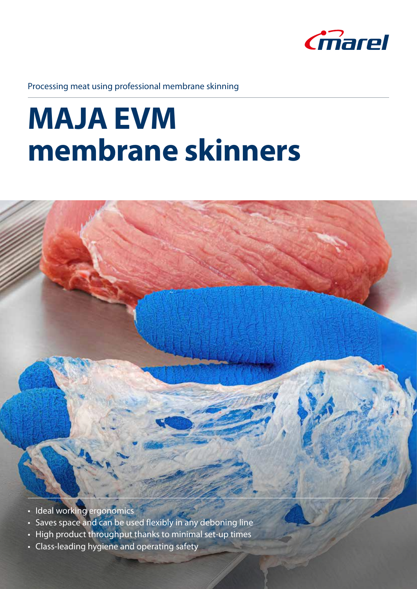

Processing meat using professional membrane skinning

# **MAJA EVM membrane skinners**



- Ideal working ergonomics
- Saves space and can be used flexibly in any deboning line
- High product throughput thanks to minimal set-up times
- Class-leading hygiene and operating safety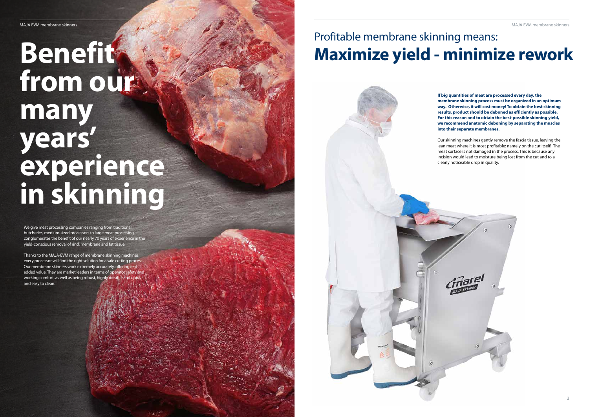We give meat processing companies ranging from traditional butcheries, medium-sized processors to large meat processing conglomerates the benefit of our nearly 70 years of experience in the yield-conscious removal of rind, membrane and fat tissue.

Thanks to the MAJA-EVM range of membrane skinning machines, every processor will find the right solution for a safe cutting process Our membrane skinners work extremely accurately, offering real added value. They are market leaders in terms of operator safety and working comfort, as well as being robust, highly durable and quick and easy to clean.

# **Benefit from our many years' experience in skinning**

## Profitable membrane skinning means: **Maximize yield - minimize rework**

**If big quantities of meat are processed every day, the membrane skinning process must be organized in an optimum way. Otherwise, it will cost money! To obtain the best skinning results, product should be deboned as efficiently as possible. For this reason and to obtain the best-possible skinning yield, we recommend anatomic deboning by separating the muscles** 

Our skinning machines gently remove the fascia tissue, leaving the lean meat where it is most profitable: namely on the cut itself! The meat surface is not damaged in the process. This is because any incision would lead to moisture being lost from the cut and to a

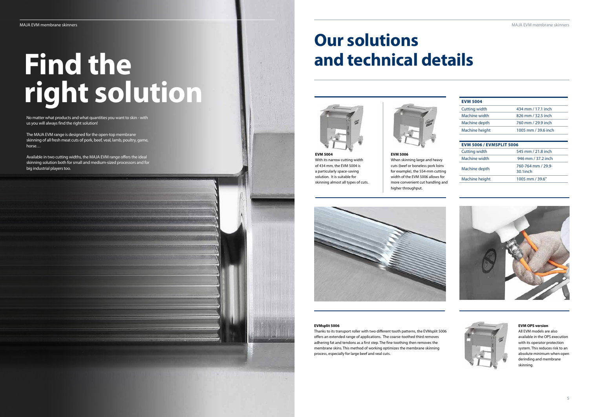No matter what products and what quantities you want to skin - with us you will always find the right solution!

The MAJA EVM range is designed for the open-top membrane skinning of all fresh meat cuts of pork, beef, veal, lamb, poultry, game, horse…

Available in two cutting widths, the MAJA EVM range offers the ideal skinning solution both for small and medium-sized processors and for big industrial players too.

# **Find the right solution**

**EVM 5004** With its narrow cutting width of 434 mm, the EVM 5004 is a particularly space-saving solution. It is suitable for skinning almost all types of cuts.

### **EVM 5006** When skinning large and heavy cuts (beef or boneless pork loins for example), the 554-mm cutting width of the EVM 5006 allows for more convenient cut handling and higher throughput.



### **EVMsplit 5006**

Thanks to its transport roller with two different tooth patterns, the EVMsplit 5006 offers an extended range of applications. The coarse-toothed third removes adhering fat and tendons as a first step. The fine toothing then removes the membrane skins. This method of working optimizes the membrane skinning process, especially for large beef and veal cuts.

### **EVM OPS version**

All EVM models are also available in the OPS execution with its operator protection system. This reduces risk to an absolute minimum when open derinding and membrane skinning.

| <b>EVM 5004</b>                                                   |                                   |
|-------------------------------------------------------------------|-----------------------------------|
| <b>Cutting width</b>                                              | 434 mm / 17.1 inch                |
| Machine width                                                     | 826 mm / 32.5 inch                |
| Machine depth                                                     | 760 mm / 29.9 inch                |
| Machine height                                                    | 1005 mm / 39.6 inch               |
|                                                                   |                                   |
|                                                                   |                                   |
|                                                                   | 545 mm / 21.8 inch                |
| <b>EVM 5006 / EVMSPLIT 5006</b><br>Cutting width<br>Machine width | 946 mm / 37.2 inch                |
| Machine depth                                                     | 760-764 mm / 29.9-<br>$30.1$ inch |





# **Our solutions and technical details**



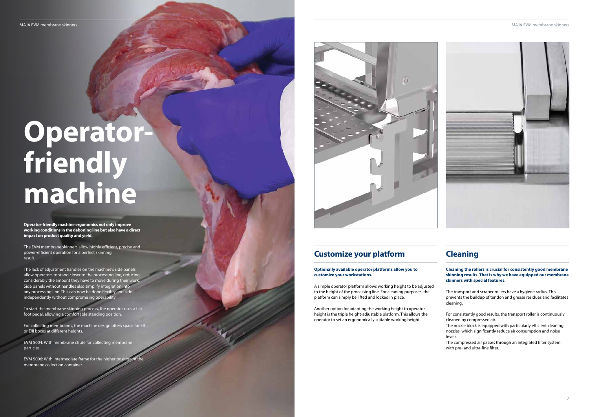MAJA EVM membrane skinners MAJA EVM membrane skinners



**Operator-friendly machine ergonomics not only improve working conditions in the deboning line but also have a direct impact on product quality and yield.**

The EVM membrane skinners allow highly efficient, precise and power-efficient operation for a perfect skinning result.

EVM 5004: With membrane chute for collecting membrane particles.

The lack of adjustment handles on the machine's side panels allow operators to stand closer to the processing line, reducin considerably the amount they have to move during their work Side panels without handles also simplify integration into any processing line. This can now be done flexibly and sideindependently without compromising operability.

EVM 5006: With intermediate frame for the higher position of the membrane collection container.



To start the membrane skinning process, the operator uses a flat foot pedal, allowing a comfortable standing position.

For collecting membranes, the machine design offers space for EII or EIII boxes at different heights.

# **Operatorfriendly machine**

**Cleaning the rollers is crucial for consistently good membrane skinning results. That is why we have equipped our membrane skinners with special features.**

The transport and scraper rollers have a hygiene radius. This prevents the buildup of tendon and grease residues and facilitates cleaning.

For consistently good results, the transport roller is continuously cleaned by compressed air.

The nozzle block is equipped with particularly efficient cleaning nozzles, which significantly reduce air consumption and noise levels.

The compressed air passes through an integrated filter system with pre- and ultra-fine filter.

## **Cleaning**

**Optionally available operator platforms allow you to customize your workstations.**

A simple operator platform allows working height to be adjusted to the height of the processing line. For cleaning purposes, the platform can simply be lifted and locked in place.

Another option for adapting the working height to operator height is the triple height-adjustable platform. This allows the operator to set an ergonomically suitable working height.

## **Customize your platform**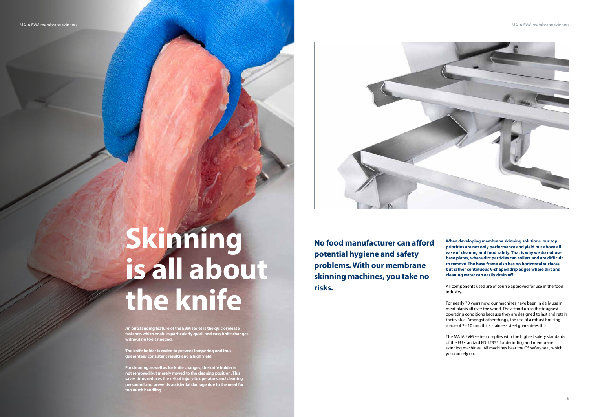**An outstanding feature of the EVM series is the quick-release fastener, which enables particularly quick and easy knife changes without no tools needed.** 

**The knife holder is coded to prevent tampering and thus guarantees consistent results and a high yield.** 

**For cleaning as well as for knife changes, the knife holder is not removed but merely moved to the cleaning position. This saves time, reduces the risk of injury to operators and cleaning personnel and prevents accidental damage due to the need for too much handling.**



# **Skinning is all about the knife**

**No food manufacturer can afford potential hygiene and safety problems. With our membrane skinning machines, you take no risks.**

MAJA EVM membrane skinners who membrane skinners and the state of the state of the state of the state of the state of the state of the state of the state of the state of the state of the state of the state of the state of

**When developing membrane skinning solutions, our top priorities are not only performance and yield but above all ease of cleaning and food safety. That is why we do not use base plates, where dirt particles can collect and are difficult to remove. The base frame also has no horizontal surfaces, but rather continuous V-shaped drip edges where dirt and cleaning water can easily drain off.** 

All components used are of course approved for use in the food industry.

For nearly 70 years now, our machines have been in daily use in meat plants all over the world. They stand up to the toughest operating conditions because they are designed to last and retain their value. Amongst other things, the use of a robust housing made of 2 - 10 mm thick stainless steel guarantees this.

The MAJA EVM series complies with the highest safety standards of the EU standard EN 12355 for derinding and membrane skinning machines. All machines bear the GS safety seal, which you can rely on.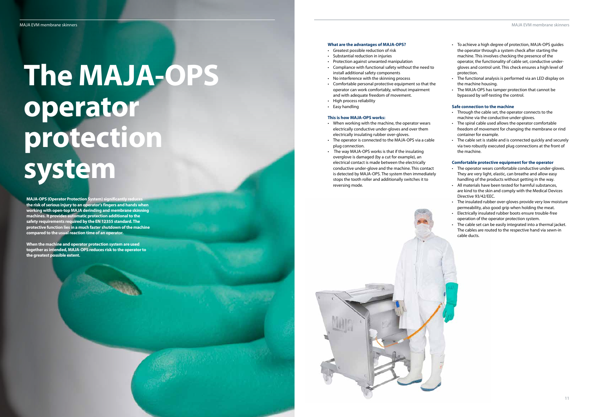**MAJA-OPS (Operator Protection System) significantly red the risk of serious injury to an operator's fingers and hands when working with open-top MAJA derinding and membrane skinning machines. It provides automatic protection additional to the safety requirements required by the EN 12355 standard. The protective function lies in a much faster shutdown of the machine compared to the usual reaction time of an operator.**

**When the machine and operator protection system are used together as intended, MAJA-OPS reduces risk to the operator to the greatest possible extent.**

# **The MAJA-OPS operator protection system**

#### **What are the advantages of MAJA-OPS?**

- Greatest possible reduction of risk
- Substantial reduction in injuries
- Protection against unwanted manipulation
- Compliance with functional safety without the need to install additional safety components
- No interference with the skinning process
- Comfortable personal protective equipment so that the operator can work comfortably, without impairment and with adequate freedom of movement.
- High process reliability
- Easy handling

#### **This is how MAJA-OPS works:**

- When working with the machine, the operator wears electrically conductive under-gloves and over them electrically insulating rubber over-gloves.
- The operator is connected to the MAJA-OPS via a cable plug connection.
- The way MAJA-OPS works is that if the insulating overglove is damaged (by a cut for example), an electrical contact is made between the electrically conductive under-glove and the machine. This contact is detected by MAJA-OPS. The system then immediately stops the tooth roller and additionally switches it to reversing mode.



- To achieve a high degree of protection, MAJA-OPS guides the operator through a system check after starting the machine. This involves checking the presence of the operator, the functionality of cable set, conductive undergloves and control unit. This check ensures a high level of protection.
- The functional analysis is performed via an LED display on the machine housing.
- The MAJA-OPS has tamper protection that cannot be bypassed by self-testing the control.

### **Safe connection to the machine**

- Through the cable set, the operator connects to the machine via the conductive under-gloves.
- The spiral cable used allows the operator comfortable freedom of movement for changing the membrane or rind container for example.
- The cable set is stable and is connected quickly and securely via two robustly executed plug connections at the front of the machine.

### **Comfortable protective equipment for the operator**

- The operator wears comfortable conductive under-gloves. They are very light, elastic, can breathe and allow easy handling of the products without getting in the way.
- All materials have been tested for harmful substances, are kind to the skin and comply with the Medical Devices Directive 93/42/EEC.
- The insulated rubber over-gloves provide very low moisture permeability, also good grip when holding the meat.
- Electrically insulated rubber boots ensure trouble-free operation of the operator protection system.
- The cable set can be easily integrated into a thermal jacket. The cables are routed to the respective hand via sewn-in cable ducts.